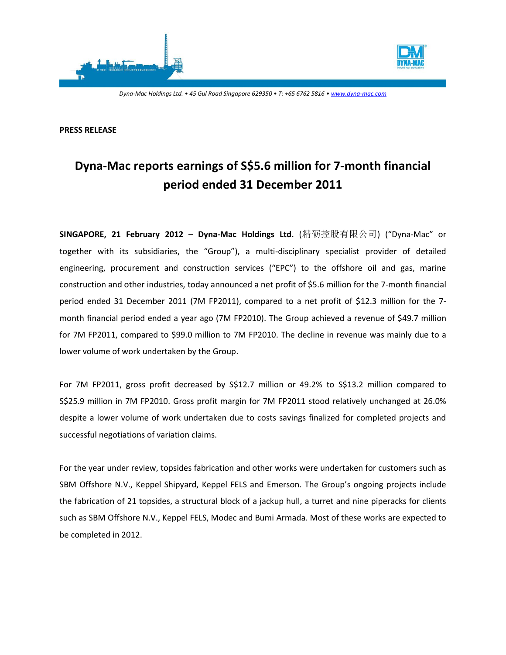



*Dyna-Mac Holdings Ltd. • 45 Gul Road Singapore 629350 • T: +65 6762 5816 • www.dyna-mac.com*

#### **PRESS RELEASE**

# **Dyna-Mac reports earnings of S\$5.6 million for 7-month financial period ended 31 December 2011**

**SINGAPORE, 21 February 2012** – **Dyna-Mac Holdings Ltd.** (精砺控股有限公司) ("Dyna-Mac" or together with its subsidiaries, the "Group"), a multi-disciplinary specialist provider of detailed engineering, procurement and construction services ("EPC") to the offshore oil and gas, marine construction and other industries, today announced a net profit of \$5.6 million for the 7-month financial period ended 31 December 2011 (7M FP2011), compared to a net profit of \$12.3 million for the 7 month financial period ended a year ago (7M FP2010). The Group achieved a revenue of \$49.7 million for 7M FP2011, compared to \$99.0 million to 7M FP2010. The decline in revenue was mainly due to a lower volume of work undertaken by the Group.

For 7M FP2011, gross profit decreased by S\$12.7 million or 49.2% to S\$13.2 million compared to S\$25.9 million in 7M FP2010. Gross profit margin for 7M FP2011 stood relatively unchanged at 26.0% despite a lower volume of work undertaken due to costs savings finalized for completed projects and successful negotiations of variation claims.

For the year under review, topsides fabrication and other works were undertaken for customers such as SBM Offshore N.V., Keppel Shipyard, Keppel FELS and Emerson. The Group's ongoing projects include the fabrication of 21 topsides, a structural block of a jackup hull, a turret and nine piperacks for clients such as SBM Offshore N.V., Keppel FELS, Modec and Bumi Armada. Most of these works are expected to be completed in 2012.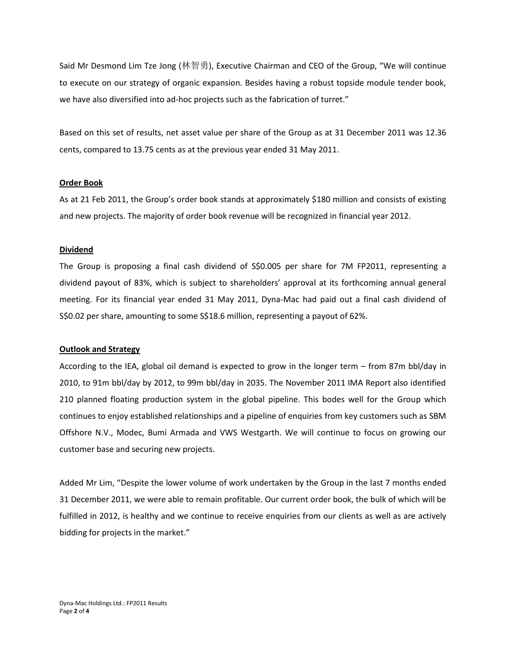Said Mr Desmond Lim Tze Jong (林智勇), Executive Chairman and CEO of the Group, "We will continue to execute on our strategy of organic expansion. Besides having a robust topside module tender book, we have also diversified into ad-hoc projects such as the fabrication of turret."

Based on this set of results, net asset value per share of the Group as at 31 December 2011 was 12.36 cents, compared to 13.75 cents as at the previous year ended 31 May 2011.

### **Order Book**

As at 21 Feb 2011, the Group's order book stands at approximately \$180 million and consists of existing and new projects. The majority of order book revenue will be recognized in financial year 2012.

## **Dividend**

The Group is proposing a final cash dividend of S\$0.005 per share for 7M FP2011, representing a dividend payout of 83%, which is subject to shareholders' approval at its forthcoming annual general meeting. For its financial year ended 31 May 2011, Dyna-Mac had paid out a final cash dividend of S\$0.02 per share, amounting to some S\$18.6 million, representing a payout of 62%.

### **Outlook and Strategy**

According to the IEA, global oil demand is expected to grow in the longer term – from 87m bbl/day in 2010, to 91m bbl/day by 2012, to 99m bbl/day in 2035. The November 2011 IMA Report also identified 210 planned floating production system in the global pipeline. This bodes well for the Group which continues to enjoy established relationships and a pipeline of enquiries from key customers such as SBM Offshore N.V., Modec, Bumi Armada and VWS Westgarth. We will continue to focus on growing our customer base and securing new projects.

Added Mr Lim, "Despite the lower volume of work undertaken by the Group in the last 7 months ended 31 December 2011, we were able to remain profitable. Our current order book, the bulk of which will be fulfilled in 2012, is healthy and we continue to receive enquiries from our clients as well as are actively bidding for projects in the market."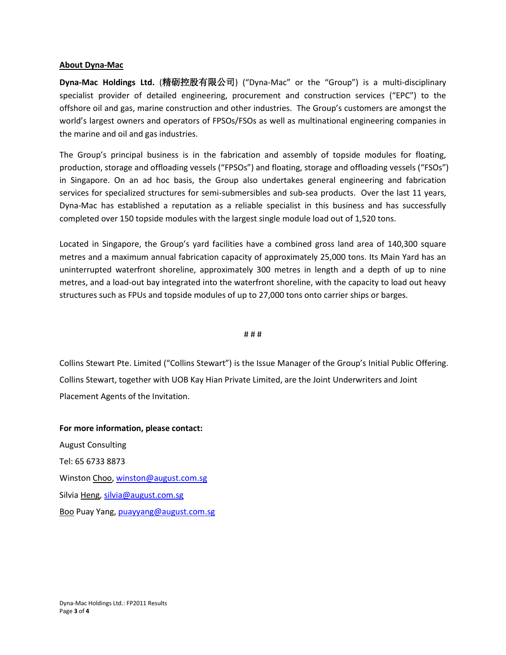## **About Dyna-Mac**

**Dyna-Mac Holdings Ltd.** (精砺控股有限公司) ("Dyna-Mac" or the "Group") is a multi-disciplinary specialist provider of detailed engineering, procurement and construction services ("EPC") to the offshore oil and gas, marine construction and other industries. The Group's customers are amongst the world's largest owners and operators of FPSOs/FSOs as well as multinational engineering companies in the marine and oil and gas industries.

The Group's principal business is in the fabrication and assembly of topside modules for floating, production, storage and offloading vessels ("FPSOs") and floating, storage and offloading vessels ("FSOs") in Singapore. On an ad hoc basis, the Group also undertakes general engineering and fabrication services for specialized structures for semi-submersibles and sub-sea products. Over the last 11 years, Dyna-Mac has established a reputation as a reliable specialist in this business and has successfully completed over 150 topside modules with the largest single module load out of 1,520 tons.

Located in Singapore, the Group's yard facilities have a combined gross land area of 140,300 square metres and a maximum annual fabrication capacity of approximately 25,000 tons. Its Main Yard has an uninterrupted waterfront shoreline, approximately 300 metres in length and a depth of up to nine metres, and a load-out bay integrated into the waterfront shoreline, with the capacity to load out heavy structures such as FPUs and topside modules of up to 27,000 tons onto carrier ships or barges.

### # # #

Collins Stewart Pte. Limited ("Collins Stewart") is the Issue Manager of the Group's Initial Public Offering. Collins Stewart, together with UOB Kay Hian Private Limited, are the Joint Underwriters and Joint Placement Agents of the Invitation.

**For more information, please contact:** August Consulting Tel: 65 6733 8873 Winston Choo[, winston@august.com.sg](mailto:winston@august.com.sg) Silvia Heng, [silvia@august.com.sg](mailto:silvia@august.com.sg) Boo Puay Yang, [puayyang@august.com.sg](mailto:puayyang@august.com.sg)